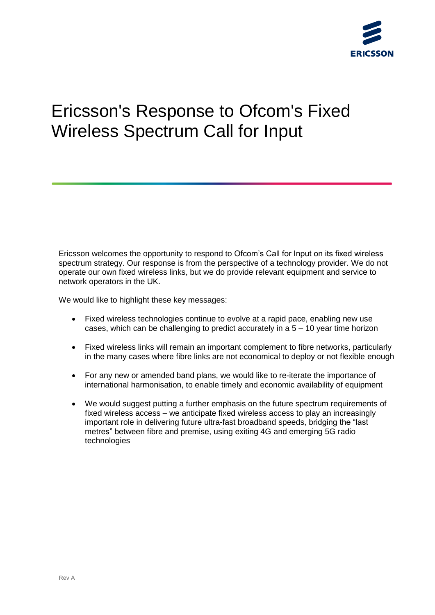# Ericsson's Response to Ofcom's Fixed Wireless Spectrum Call for Input

Ericsson welcomes the opportunity to respond to Ofcom's Call for Input on its fixed wireless spectrum strategy. Our response is from the perspective of a technology provider. We do not operate our own fixed wireless links, but we do provide relevant equipment and service to network operators in the UK.

We would like to highlight these key messages:

- Fixed wireless technologies continue to evolve at a rapid pace, enabling new use cases, which can be challenging to predict accurately in a  $5 - 10$  year time horizon
- Fixed wireless links will remain an important complement to fibre networks, particularly in the many cases where fibre links are not economical to deploy or not flexible enough
- For any new or amended band plans, we would like to re-iterate the importance of international harmonisation, to enable timely and economic availability of equipment
- We would suggest putting a further emphasis on the future spectrum requirements of fixed wireless access – we anticipate fixed wireless access to play an increasingly important role in delivering future ultra-fast broadband speeds, bridging the "last metres" between fibre and premise, using exiting 4G and emerging 5G radio technologies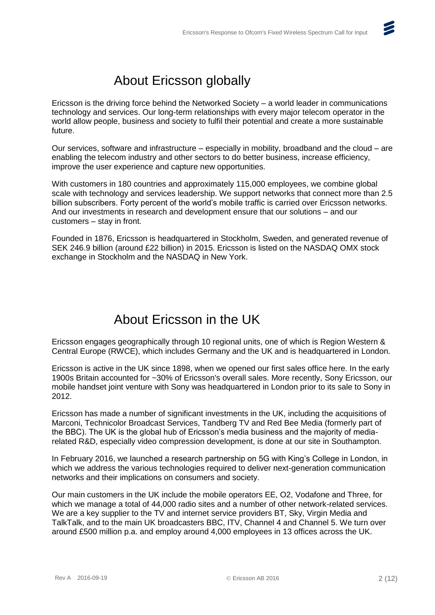

Ericsson is the driving force behind the Networked Society – a world leader in communications technology and services. Our long-term relationships with every major telecom operator in the world allow people, business and society to fulfil their potential and create a more sustainable future.

Our services, software and infrastructure – especially in mobility, broadband and the cloud – are enabling the telecom industry and other sectors to do better business, increase efficiency, improve the user experience and capture new opportunities.

With customers in 180 countries and approximately 115,000 employees, we combine global scale with technology and services leadership. We support networks that connect more than 2.5 billion subscribers. Forty percent of the world's mobile traffic is carried over Ericsson networks. And our investments in research and development ensure that our solutions – and our customers – stay in front.

Founded in 1876, Ericsson is headquartered in Stockholm, Sweden, and generated revenue of SEK 246.9 billion (around £22 billion) in 2015. Ericsson is listed on the NASDAQ OMX stock exchange in Stockholm and the NASDAQ in New York.

# About Ericsson in the UK

Ericsson engages geographically through 10 regional units, one of which is Region Western & Central Europe (RWCE), which includes Germany and the UK and is headquartered in London.

Ericsson is active in the UK since 1898, when we opened our first sales office here. In the early 1900s Britain accounted for ~30% of Ericsson's overall sales. More recently, Sony Ericsson, our mobile handset joint venture with Sony was headquartered in London prior to its sale to Sony in 2012.

Ericsson has made a number of significant investments in the UK, including the acquisitions of Marconi, Technicolor Broadcast Services, Tandberg TV and Red Bee Media (formerly part of the BBC). The UK is the global hub of Ericsson's media business and the majority of mediarelated R&D, especially video compression development, is done at our site in Southampton.

In February 2016, we launched a research partnership on 5G with King's College in London, in which we address the various technologies required to deliver next-generation communication networks and their implications on consumers and society.

Our main customers in the UK include the mobile operators EE, O2, Vodafone and Three, for which we manage a total of 44,000 radio sites and a number of other network-related services. We are a key supplier to the TV and internet service providers BT, Sky, Virgin Media and TalkTalk, and to the main UK broadcasters BBC, ITV, Channel 4 and Channel 5. We turn over around £500 million p.a. and employ around 4,000 employees in 13 offices across the UK.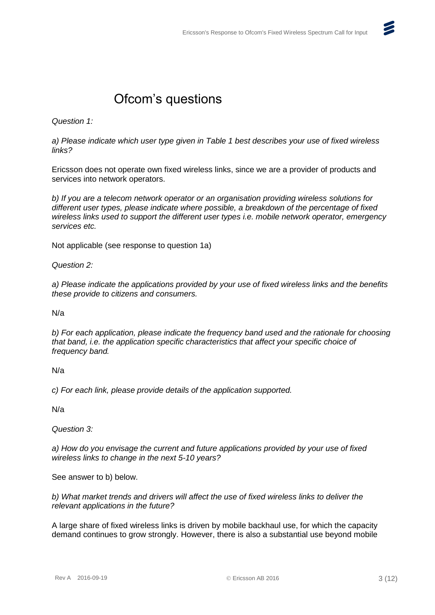

# Ofcom's questions

*Question 1:*

*a) Please indicate which user type given in Table 1 best describes your use of fixed wireless links?*

Ericsson does not operate own fixed wireless links, since we are a provider of products and services into network operators.

*b) If you are a telecom network operator or an organisation providing wireless solutions for different user types, please indicate where possible, a breakdown of the percentage of fixed wireless links used to support the different user types i.e. mobile network operator, emergency services etc.*

Not applicable (see response to question 1a)

*Question 2:*

*a) Please indicate the applications provided by your use of fixed wireless links and the benefits these provide to citizens and consumers.*

N/a

*b) For each application, please indicate the frequency band used and the rationale for choosing that band, i.e. the application specific characteristics that affect your specific choice of frequency band.*

N/a

*c) For each link, please provide details of the application supported.*

N/a

*Question 3:*

*a) How do you envisage the current and future applications provided by your use of fixed wireless links to change in the next 5-10 years?*

See answer to b) below.

*b) What market trends and drivers will affect the use of fixed wireless links to deliver the relevant applications in the future?*

A large share of fixed wireless links is driven by mobile backhaul use, for which the capacity demand continues to grow strongly. However, there is also a substantial use beyond mobile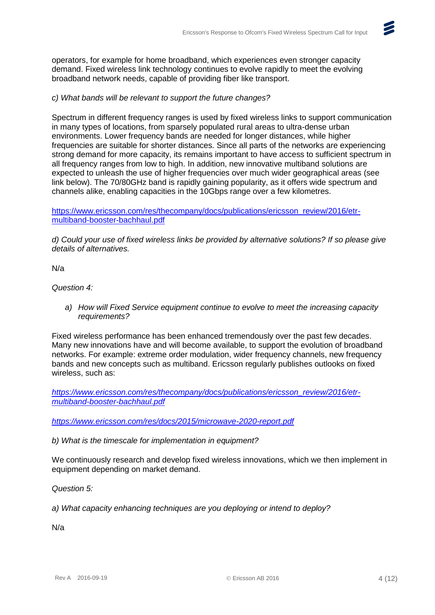operators, for example for home broadband, which experiences even stronger capacity demand. Fixed wireless link technology continues to evolve rapidly to meet the evolving broadband network needs, capable of providing fiber like transport.

# *c) What bands will be relevant to support the future changes?*

Spectrum in different frequency ranges is used by fixed wireless links to support communication in many types of locations, from sparsely populated rural areas to ultra-dense urban environments. Lower frequency bands are needed for longer distances, while higher frequencies are suitable for shorter distances. Since all parts of the networks are experiencing strong demand for more capacity, its remains important to have access to sufficient spectrum in all frequency ranges from low to high. In addition, new innovative multiband solutions are expected to unleash the use of higher frequencies over much wider geographical areas (see link below). The 70/80GHz band is rapidly gaining popularity, as it offers wide spectrum and channels alike, enabling capacities in the 10Gbps range over a few kilometres.

[https://www.ericsson.com/res/thecompany/docs/publications/ericsson\\_review/2016/etr](https://www.ericsson.com/res/thecompany/docs/publications/ericsson_review/2016/etr-multiband-booster-bachhaul.pdf)[multiband-booster-bachhaul.pdf](https://www.ericsson.com/res/thecompany/docs/publications/ericsson_review/2016/etr-multiband-booster-bachhaul.pdf)

*d) Could your use of fixed wireless links be provided by alternative solutions? If so please give details of alternatives.*

N/a

*Question 4:*

*a) How will Fixed Service equipment continue to evolve to meet the increasing capacity requirements?*

Fixed wireless performance has been enhanced tremendously over the past few decades. Many new innovations have and will become available, to support the evolution of broadband networks. For example: extreme order modulation, wider frequency channels, new frequency bands and new concepts such as multiband. Ericsson regularly publishes outlooks on fixed wireless, such as:

*[https://www.ericsson.com/res/thecompany/docs/publications/ericsson\\_review/2016/etr](https://www.ericsson.com/res/thecompany/docs/publications/ericsson_review/2016/etr-multiband-booster-bachhaul.pdf)[multiband-booster-bachhaul.pdf](https://www.ericsson.com/res/thecompany/docs/publications/ericsson_review/2016/etr-multiband-booster-bachhaul.pdf)*

*<https://www.ericsson.com/res/docs/2015/microwave-2020-report.pdf>*

*b) What is the timescale for implementation in equipment?*

We continuously research and develop fixed wireless innovations, which we then implement in equipment depending on market demand.

*Question 5:*

*a) What capacity enhancing techniques are you deploying or intend to deploy?*

N/a

Z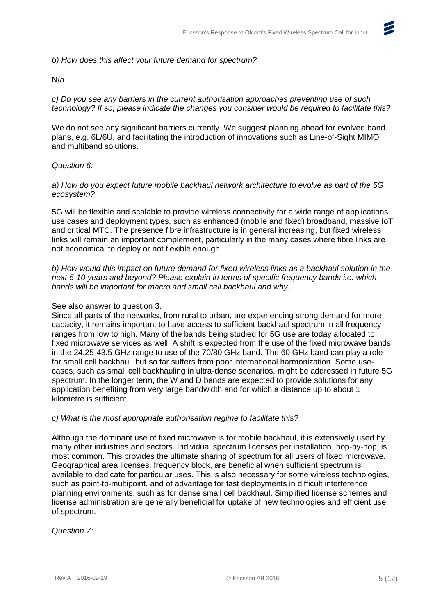# *b) How does this affect your future demand for spectrum?*

### N/a

*c) Do you see any barriers in the current authorisation approaches preventing use of such technology? If so, please indicate the changes you consider would be required to facilitate this?*

We do not see any significant barriers currently. We suggest planning ahead for evolved band plans, e.g. 6L/6U, and facilitating the introduction of innovations such as Line-of-Sight MIMO and multiband solutions.

### *Question 6:*

*a) How do you expect future mobile backhaul network architecture to evolve as part of the 5G ecosystem?*

5G will be flexible and scalable to provide wireless connectivity for a wide range of applications, use cases and deployment types, such as enhanced (mobile and fixed) broadband, massive IoT and critical MTC. The presence fibre infrastructure is in general increasing, but fixed wireless links will remain an important complement, particularly in the many cases where fibre links are not economical to deploy or not flexible enough.

*b) How would this impact on future demand for fixed wireless links as a backhaul solution in the next 5-10 years and beyond? Please explain in terms of specific frequency bands i.e. which bands will be important for macro and small cell backhaul and why.*

#### See also answer to question 3.

Since all parts of the networks, from rural to urban, are experiencing strong demand for more capacity, it remains important to have access to sufficient backhaul spectrum in all frequency ranges from low to high. Many of the bands being studied for 5G use are today allocated to fixed microwave services as well. A shift is expected from the use of the fixed microwave bands in the 24.25-43.5 GHz range to use of the 70/80 GHz band. The 60 GHz band can play a role for small cell backhaul, but so far suffers from poor international harmonization. Some usecases, such as small cell backhauling in ultra-dense scenarios, might be addressed in future 5G spectrum. In the longer term, the W and D bands are expected to provide solutions for any application benefiting from very large bandwidth and for which a distance up to about 1 kilometre is sufficient.

#### *c) What is the most appropriate authorisation regime to facilitate this?*

Although the dominant use of fixed microwave is for mobile backhaul, it is extensively used by many other industries and sectors. Individual spectrum licenses per installation, hop-by-hop, is most common. This provides the ultimate sharing of spectrum for all users of fixed microwave. Geographical area licenses, frequency block, are beneficial when sufficient spectrum is available to dedicate for particular uses. This is also necessary for some wireless technologies, such as point-to-multipoint, and of advantage for fast deployments in difficult interference planning environments, such as for dense small cell backhaul. Simplified license schemes and license administration are generally beneficial for uptake of new technologies and efficient use of spectrum.

*Question 7:*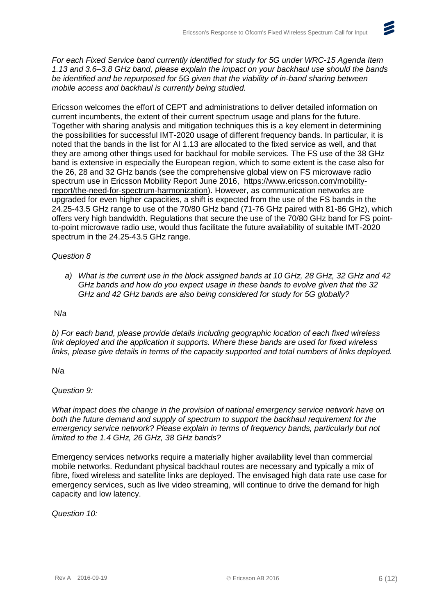

*For each Fixed Service band currently identified for study for 5G under WRC-15 Agenda Item 1.13 and 3.6–3.8 GHz band, please explain the impact on your backhaul use should the bands be identified and be repurposed for 5G given that the viability of in-band sharing between mobile access and backhaul is currently being studied.*

Ericsson welcomes the effort of CEPT and administrations to deliver detailed information on current incumbents, the extent of their current spectrum usage and plans for the future. Together with sharing analysis and mitigation techniques this is a key element in determining the possibilities for successful IMT-2020 usage of different frequency bands. In particular, it is noted that the bands in the list for AI 1.13 are allocated to the fixed service as well, and that they are among other things used for backhaul for mobile services. The FS use of the 38 GHz band is extensive in especially the European region, which to some extent is the case also for the 26, 28 and 32 GHz bands (see the comprehensive global view on FS microwave radio spectrum use in Ericsson Mobility Report June 2016, [https://www.ericsson.com/mobility](https://www.ericsson.com/mobility-report/the-need-for-spectrum-harmonization)[report/the-need-for-spectrum-harmonization\)](https://www.ericsson.com/mobility-report/the-need-for-spectrum-harmonization). However, as communication networks are upgraded for even higher capacities, a shift is expected from the use of the FS bands in the 24.25-43.5 GHz range to use of the 70/80 GHz band (71-76 GHz paired with 81-86 GHz), which offers very high bandwidth. Regulations that secure the use of the 70/80 GHz band for FS pointto-point microwave radio use, would thus facilitate the future availability of suitable IMT-2020 spectrum in the 24.25-43.5 GHz range.

# *Question 8*

*a) What is the current use in the block assigned bands at 10 GHz, 28 GHz, 32 GHz and 42 GHz bands and how do you expect usage in these bands to evolve given that the 32 GHz and 42 GHz bands are also being considered for study for 5G globally?*

# N/a

*b) For each band, please provide details including geographic location of each fixed wireless link deployed and the application it supports. Where these bands are used for fixed wireless links, please give details in terms of the capacity supported and total numbers of links deployed.*

N/a

# *Question 9:*

*What impact does the change in the provision of national emergency service network have on both the future demand and supply of spectrum to support the backhaul requirement for the emergency service network? Please explain in terms of frequency bands, particularly but not limited to the 1.4 GHz, 26 GHz, 38 GHz bands?*

Emergency services networks require a materially higher availability level than commercial mobile networks. Redundant physical backhaul routes are necessary and typically a mix of fibre, fixed wireless and satellite links are deployed. The envisaged high data rate use case for emergency services, such as live video streaming, will continue to drive the demand for high capacity and low latency.

*Question 10:*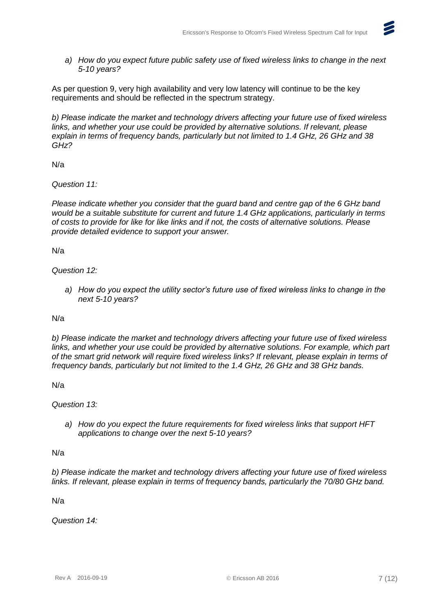

*a) How do you expect future public safety use of fixed wireless links to change in the next 5-10 years?*

As per question 9, very high availability and very low latency will continue to be the key requirements and should be reflected in the spectrum strategy.

*b) Please indicate the market and technology drivers affecting your future use of fixed wireless links, and whether your use could be provided by alternative solutions. If relevant, please explain in terms of frequency bands, particularly but not limited to 1.4 GHz, 26 GHz and 38 GHz?*

N/a

*Question 11:*

*Please indicate whether you consider that the guard band and centre gap of the 6 GHz band would be a suitable substitute for current and future 1.4 GHz applications, particularly in terms of costs to provide for like for like links and if not, the costs of alternative solutions. Please provide detailed evidence to support your answer.*

N/a

*Question 12:*

*a) How do you expect the utility sector's future use of fixed wireless links to change in the next 5-10 years?*

N/a

*b) Please indicate the market and technology drivers affecting your future use of fixed wireless*  links, and whether your use could be provided by alternative solutions. For example, which part *of the smart grid network will require fixed wireless links? If relevant, please explain in terms of frequency bands, particularly but not limited to the 1.4 GHz, 26 GHz and 38 GHz bands.*

N/a

*Question 13:*

*a) How do you expect the future requirements for fixed wireless links that support HFT applications to change over the next 5-10 years?*

N/a

*b) Please indicate the market and technology drivers affecting your future use of fixed wireless links. If relevant, please explain in terms of frequency bands, particularly the 70/80 GHz band.*

N/a

*Question 14:*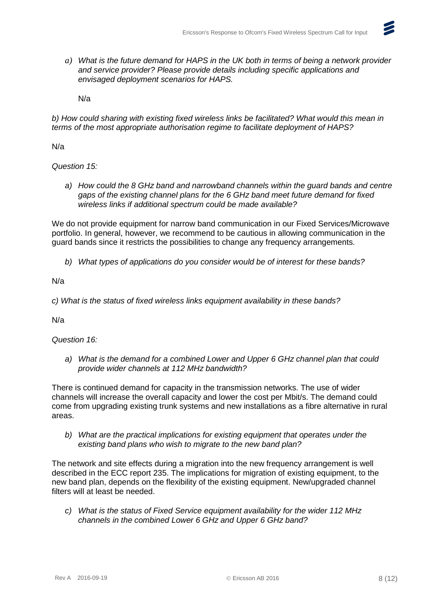*a) What is the future demand for HAPS in the UK both in terms of being a network provider and service provider? Please provide details including specific applications and envisaged deployment scenarios for HAPS.*

N/a

*b) How could sharing with existing fixed wireless links be facilitated? What would this mean in terms of the most appropriate authorisation regime to facilitate deployment of HAPS?*

N/a

*Question 15:*

*a) How could the 8 GHz band and narrowband channels within the guard bands and centre gaps of the existing channel plans for the 6 GHz band meet future demand for fixed wireless links if additional spectrum could be made available?*

We do not provide equipment for narrow band communication in our Fixed Services/Microwave portfolio. In general, however, we recommend to be cautious in allowing communication in the guard bands since it restricts the possibilities to change any frequency arrangements.

*b) What types of applications do you consider would be of interest for these bands?*

N/a

*c) What is the status of fixed wireless links equipment availability in these bands?*

N/a

*Question 16:*

*a) What is the demand for a combined Lower and Upper 6 GHz channel plan that could provide wider channels at 112 MHz bandwidth?*

There is continued demand for capacity in the transmission networks. The use of wider channels will increase the overall capacity and lower the cost per Mbit/s. The demand could come from upgrading existing trunk systems and new installations as a fibre alternative in rural areas.

*b) What are the practical implications for existing equipment that operates under the existing band plans who wish to migrate to the new band plan?*

The network and site effects during a migration into the new frequency arrangement is well described in the ECC report 235. The implications for migration of existing equipment, to the new band plan, depends on the flexibility of the existing equipment. New/upgraded channel filters will at least be needed.

*c) What is the status of Fixed Service equipment availability for the wider 112 MHz channels in the combined Lower 6 GHz and Upper 6 GHz band?*

 $\boldsymbol{z}$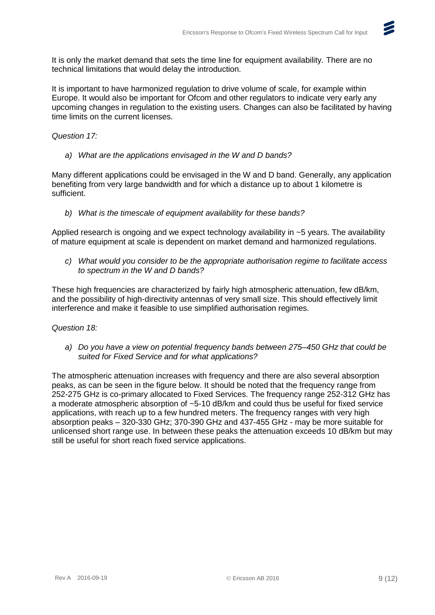

It is important to have harmonized regulation to drive volume of scale, for example within Europe. It would also be important for Ofcom and other regulators to indicate very early any upcoming changes in regulation to the existing users. Changes can also be facilitated by having time limits on the current licenses.

### *Question 17:*

*a) What are the applications envisaged in the W and D bands?*

Many different applications could be envisaged in the W and D band. Generally, any application benefiting from very large bandwidth and for which a distance up to about 1 kilometre is sufficient.

*b) What is the timescale of equipment availability for these bands?*

Applied research is ongoing and we expect technology availability in  $\sim$  5 years. The availability of mature equipment at scale is dependent on market demand and harmonized regulations.

*c) What would you consider to be the appropriate authorisation regime to facilitate access to spectrum in the W and D bands?*

These high frequencies are characterized by fairly high atmospheric attenuation, few dB/km, and the possibility of high-directivity antennas of very small size. This should effectively limit interference and make it feasible to use simplified authorisation regimes.

#### *Question 18:*

*a) Do you have a view on potential frequency bands between 275–450 GHz that could be suited for Fixed Service and for what applications?*

The atmospheric attenuation increases with frequency and there are also several absorption peaks, as can be seen in the figure below. It should be noted that the frequency range from 252-275 GHz is co-primary allocated to Fixed Services. The frequency range 252-312 GHz has a moderate atmospheric absorption of ~5-10 dB/km and could thus be useful for fixed service applications, with reach up to a few hundred meters. The frequency ranges with very high absorption peaks – 320-330 GHz; 370-390 GHz and 437-455 GHz - may be more suitable for unlicensed short range use. In between these peaks the attenuation exceeds 10 dB/km but may still be useful for short reach fixed service applications.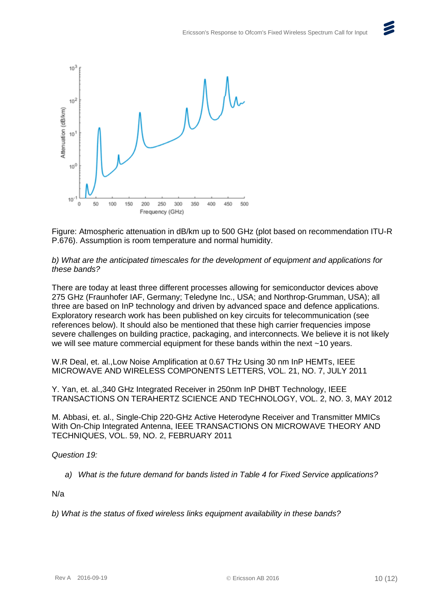



Figure: Atmospheric attenuation in dB/km up to 500 GHz (plot based on recommendation ITU-R P.676). Assumption is room temperature and normal humidity.

*b) What are the anticipated timescales for the development of equipment and applications for these bands?*

There are today at least three different processes allowing for semiconductor devices above 275 GHz (Fraunhofer IAF, Germany; Teledyne Inc., USA; and Northrop-Grumman, USA); all three are based on InP technology and driven by advanced space and defence applications. Exploratory research work has been published on key circuits for telecommunication (see references below). It should also be mentioned that these high carrier frequencies impose severe challenges on building practice, packaging, and interconnects. We believe it is not likely we will see mature commercial equipment for these bands within the next ~10 years.

W.R Deal, et. al.,Low Noise Amplification at 0.67 THz Using 30 nm InP HEMTs, IEEE MICROWAVE AND WIRELESS COMPONENTS LETTERS, VOL. 21, NO. 7, JULY 2011

Y. Yan, et. al.,340 GHz Integrated Receiver in 250nm InP DHBT Technology, IEEE TRANSACTIONS ON TERAHERTZ SCIENCE AND TECHNOLOGY, VOL. 2, NO. 3, MAY 2012

M. Abbasi, et. al., Single-Chip 220-GHz Active Heterodyne Receiver and Transmitter MMICs With On-Chip Integrated Antenna, IEEE TRANSACTIONS ON MICROWAVE THEORY AND TECHNIQUES, VOL. 59, NO. 2, FEBRUARY 2011

*Question 19:*

*a) What is the future demand for bands listed in Table 4 for Fixed Service applications?*

N/a

*b) What is the status of fixed wireless links equipment availability in these bands?*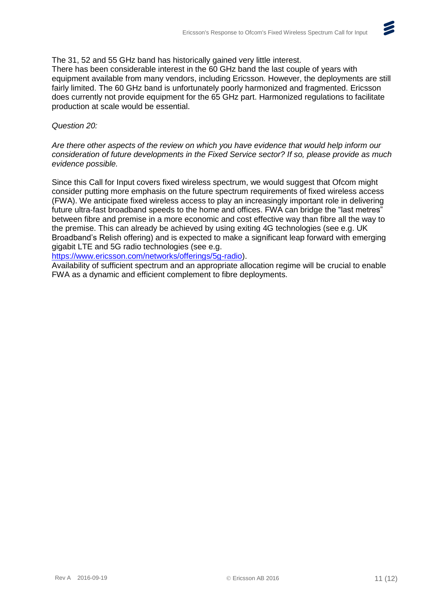### The 31, 52 and 55 GHz band has historically gained very little interest.

There has been considerable interest in the 60 GHz band the last couple of years with equipment available from many vendors, including Ericsson. However, the deployments are still fairly limited. The 60 GHz band is unfortunately poorly harmonized and fragmented. Ericsson does currently not provide equipment for the 65 GHz part. Harmonized regulations to facilitate production at scale would be essential.

# *Question 20:*

*Are there other aspects of the review on which you have evidence that would help inform our consideration of future developments in the Fixed Service sector? If so, please provide as much evidence possible.*

Since this Call for Input covers fixed wireless spectrum, we would suggest that Ofcom might consider putting more emphasis on the future spectrum requirements of fixed wireless access (FWA). We anticipate fixed wireless access to play an increasingly important role in delivering future ultra-fast broadband speeds to the home and offices. FWA can bridge the "last metres" between fibre and premise in a more economic and cost effective way than fibre all the way to the premise. This can already be achieved by using exiting 4G technologies (see e.g. UK Broadband's Relish offering) and is expected to make a significant leap forward with emerging gigabit LTE and 5G radio technologies (see e.g.

[https://www.ericsson.com/networks/offerings/5g-radio\)](https://www.ericsson.com/networks/offerings/5g-radio).

Availability of sufficient spectrum and an appropriate allocation regime will be crucial to enable FWA as a dynamic and efficient complement to fibre deployments.